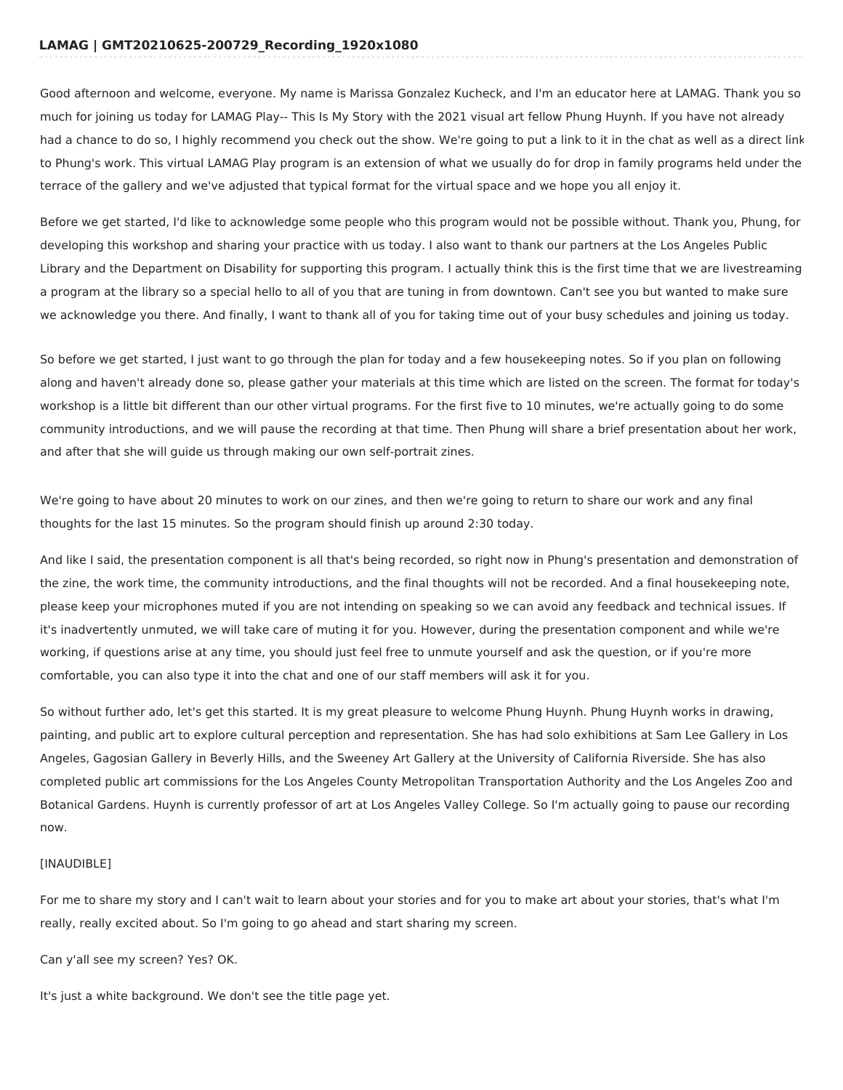# **LAMAG | GMT20210625-200729\_Recording\_1920x1080**

Good afternoon and welcome, everyone. My name is Marissa Gonzalez Kucheck, and I'm an educator here at LAMAG. Thank you so much for joining us today for LAMAG Play-- This Is My Story with the 2021 visual art fellow Phung Huynh. If you have not already had a chance to do so, I highly recommend you check out the show. We're going to put a link to it in the chat as well as a direct link to Phung's work. This virtual LAMAG Play program is an extension of what we usually do for drop in family programs held under the terrace of the gallery and we've adjusted that typical format for the virtual space and we hope you all enjoy it.

Before we get started, I'd like to acknowledge some people who this program would not be possible without. Thank you, Phung, for developing this workshop and sharing your practice with us today. I also want to thank our partners at the Los Angeles Public Library and the Department on Disability for supporting this program. I actually think this is the first time that we are livestreaming a program at the library so a special hello to all of you that are tuning in from downtown. Can't see you but wanted to make sure we acknowledge you there. And finally, I want to thank all of you for taking time out of your busy schedules and joining us today.

So before we get started, I just want to go through the plan for today and a few housekeeping notes. So if you plan on following along and haven't already done so, please gather your materials at this time which are listed on the screen. The format for today's workshop is a little bit different than our other virtual programs. For the first five to 10 minutes, we're actually going to do some community introductions, and we will pause the recording at that time. Then Phung will share a brief presentation about her work, and after that she will guide us through making our own self-portrait zines.

We're going to have about 20 minutes to work on our zines, and then we're going to return to share our work and any final thoughts for the last 15 minutes. So the program should finish up around 2:30 today.

And like I said, the presentation component is all that's being recorded, so right now in Phung's presentation and demonstration of the zine, the work time, the community introductions, and the final thoughts will not be recorded. And a final housekeeping note, please keep your microphones muted if you are not intending on speaking so we can avoid any feedback and technical issues. If it's inadvertently unmuted, we will take care of muting it for you. However, during the presentation component and while we're working, if questions arise at any time, you should just feel free to unmute yourself and ask the question, or if you're more comfortable, you can also type it into the chat and one of our staff members will ask it for you.

So without further ado, let's get this started. It is my great pleasure to welcome Phung Huynh. Phung Huynh works in drawing, painting, and public art to explore cultural perception and representation. She has had solo exhibitions at Sam Lee Gallery in Los Angeles, Gagosian Gallery in Beverly Hills, and the Sweeney Art Gallery at the University of California Riverside. She has also completed public art commissions for the Los Angeles County Metropolitan Transportation Authority and the Los Angeles Zoo and Botanical Gardens. Huynh is currently professor of art at Los Angeles Valley College. So I'm actually going to pause our recording now.

## [INAUDIBLE]

For me to share my story and I can't wait to learn about your stories and for you to make art about your stories, that's what I'm really, really excited about. So I'm going to go ahead and start sharing my screen.

Can y'all see my screen? Yes? OK.

It's just a white background. We don't see the title page yet.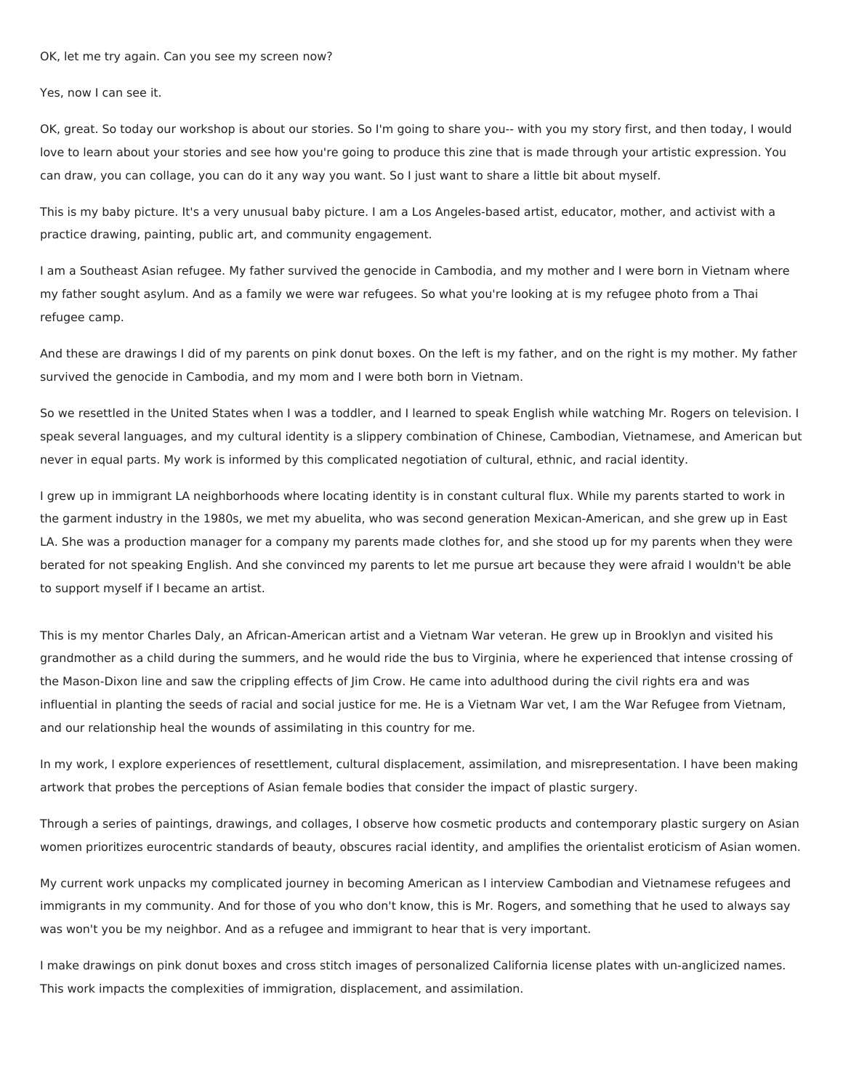#### OK, let me try again. Can you see my screen now?

Yes, now I can see it.

OK, great. So today our workshop is about our stories. So I'm going to share you-- with you my story first, and then today, I would love to learn about your stories and see how you're going to produce this zine that is made through your artistic expression. You can draw, you can collage, you can do it any way you want. So I just want to share a little bit about myself.

This is my baby picture. It's a very unusual baby picture. I am a Los Angeles-based artist, educator, mother, and activist with a practice drawing, painting, public art, and community engagement.

I am a Southeast Asian refugee. My father survived the genocide in Cambodia, and my mother and I were born in Vietnam where my father sought asylum. And as a family we were war refugees. So what you're looking at is my refugee photo from a Thai refugee camp.

And these are drawings I did of my parents on pink donut boxes. On the left is my father, and on the right is my mother. My father survived the genocide in Cambodia, and my mom and I were both born in Vietnam.

So we resettled in the United States when I was a toddler, and I learned to speak English while watching Mr. Rogers on television. I speak several languages, and my cultural identity is a slippery combination of Chinese, Cambodian, Vietnamese, and American but never in equal parts. My work is informed by this complicated negotiation of cultural, ethnic, and racial identity.

I grew up in immigrant LA neighborhoods where locating identity is in constant cultural flux. While my parents started to work in the garment industry in the 1980s, we met my abuelita, who was second generation Mexican-American, and she grew up in East LA. She was a production manager for a company my parents made clothes for, and she stood up for my parents when they were berated for not speaking English. And she convinced my parents to let me pursue art because they were afraid I wouldn't be able to support myself if I became an artist.

This is my mentor Charles Daly, an African-American artist and a Vietnam War veteran. He grew up in Brooklyn and visited his grandmother as a child during the summers, and he would ride the bus to Virginia, where he experienced that intense crossing of the Mason-Dixon line and saw the crippling effects of Jim Crow. He came into adulthood during the civil rights era and was influential in planting the seeds of racial and social justice for me. He is a Vietnam War vet, I am the War Refugee from Vietnam, and our relationship heal the wounds of assimilating in this country for me.

In my work, I explore experiences of resettlement, cultural displacement, assimilation, and misrepresentation. I have been making artwork that probes the perceptions of Asian female bodies that consider the impact of plastic surgery.

Through a series of paintings, drawings, and collages, I observe how cosmetic products and contemporary plastic surgery on Asian women prioritizes eurocentric standards of beauty, obscures racial identity, and amplifies the orientalist eroticism of Asian women.

My current work unpacks my complicated journey in becoming American as I interview Cambodian and Vietnamese refugees and immigrants in my community. And for those of you who don't know, this is Mr. Rogers, and something that he used to always say was won't you be my neighbor. And as a refugee and immigrant to hear that is very important.

I make drawings on pink donut boxes and cross stitch images of personalized California license plates with un-anglicized names. This work impacts the complexities of immigration, displacement, and assimilation.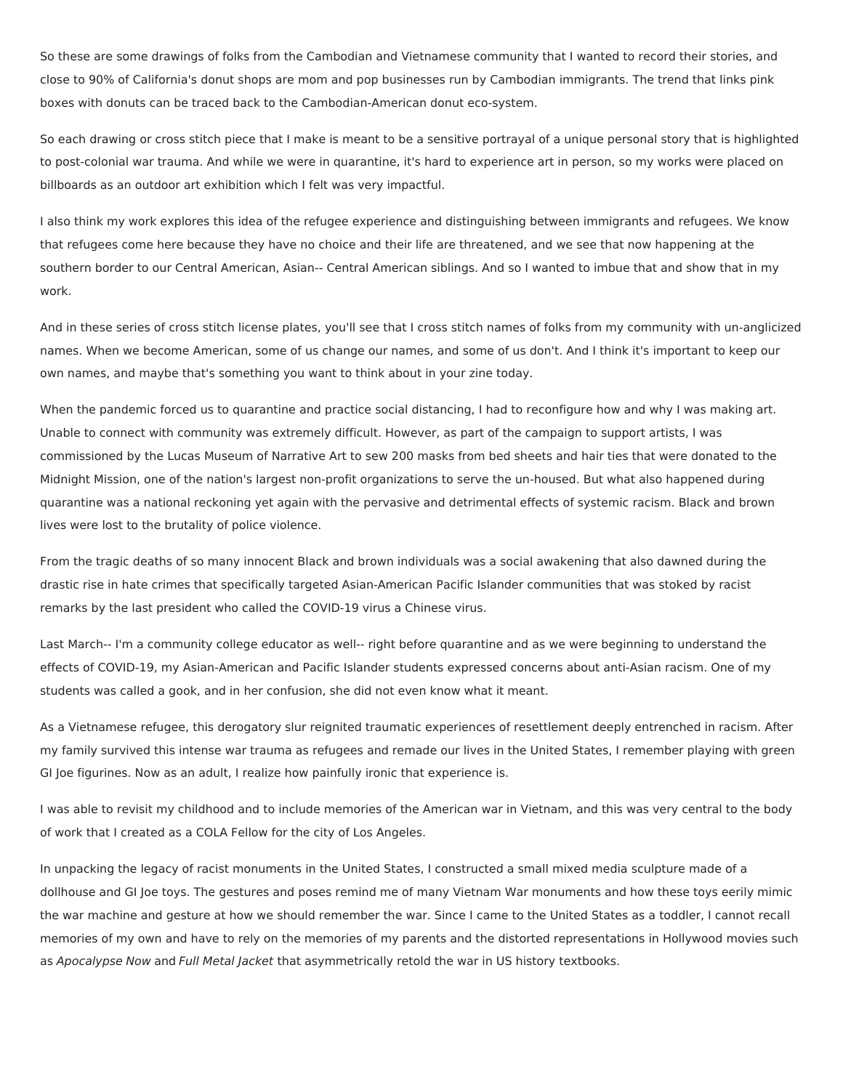So these are some drawings of folks from the Cambodian and Vietnamese community that I wanted to record their stories, and close to 90% of California's donut shops are mom and pop businesses run by Cambodian immigrants. The trend that links pink boxes with donuts can be traced back to the Cambodian-American donut eco-system.

So each drawing or cross stitch piece that I make is meant to be a sensitive portrayal of a unique personal story that is highlighted to post-colonial war trauma. And while we were in quarantine, it's hard to experience art in person, so my works were placed on billboards as an outdoor art exhibition which I felt was very impactful.

I also think my work explores this idea of the refugee experience and distinguishing between immigrants and refugees. We know that refugees come here because they have no choice and their life are threatened, and we see that now happening at the southern border to our Central American, Asian-- Central American siblings. And so I wanted to imbue that and show that in my work.

And in these series of cross stitch license plates, you'll see that I cross stitch names of folks from my community with un-anglicized names. When we become American, some of us change our names, and some of us don't. And I think it's important to keep our own names, and maybe that's something you want to think about in your zine today.

When the pandemic forced us to quarantine and practice social distancing, I had to reconfigure how and why I was making art. Unable to connect with community was extremely difficult. However, as part of the campaign to support artists, I was commissioned by the Lucas Museum of Narrative Art to sew 200 masks from bed sheets and hair ties that were donated to the Midnight Mission, one of the nation's largest non-profit organizations to serve the un-housed. But what also happened during quarantine was a national reckoning yet again with the pervasive and detrimental effects of systemic racism. Black and brown lives were lost to the brutality of police violence.

From the tragic deaths of so many innocent Black and brown individuals was a social awakening that also dawned during the drastic rise in hate crimes that specifically targeted Asian-American Pacific Islander communities that was stoked by racist remarks by the last president who called the COVID-19 virus a Chinese virus.

Last March-- I'm a community college educator as well-- right before quarantine and as we were beginning to understand the effects of COVID-19, my Asian-American and Pacific Islander students expressed concerns about anti-Asian racism. One of my students was called a gook, and in her confusion, she did not even know what it meant.

As a Vietnamese refugee, this derogatory slur reignited traumatic experiences of resettlement deeply entrenched in racism. After my family survived this intense war trauma as refugees and remade our lives in the United States, I remember playing with green GI Joe figurines. Now as an adult, I realize how painfully ironic that experience is.

I was able to revisit my childhood and to include memories of the American war in Vietnam, and this was very central to the body of work that I created as a COLA Fellow for the city of Los Angeles.

In unpacking the legacy of racist monuments in the United States, I constructed a small mixed media sculpture made of a dollhouse and GI Joe toys. The gestures and poses remind me of many Vietnam War monuments and how these toys eerily mimic the war machine and gesture at how we should remember the war. Since I came to the United States as a toddler, I cannot recall memories of my own and have to rely on the memories of my parents and the distorted representations in Hollywood movies such as Apocalypse Now and Full Metal Jacket that asymmetrically retold the war in US history textbooks.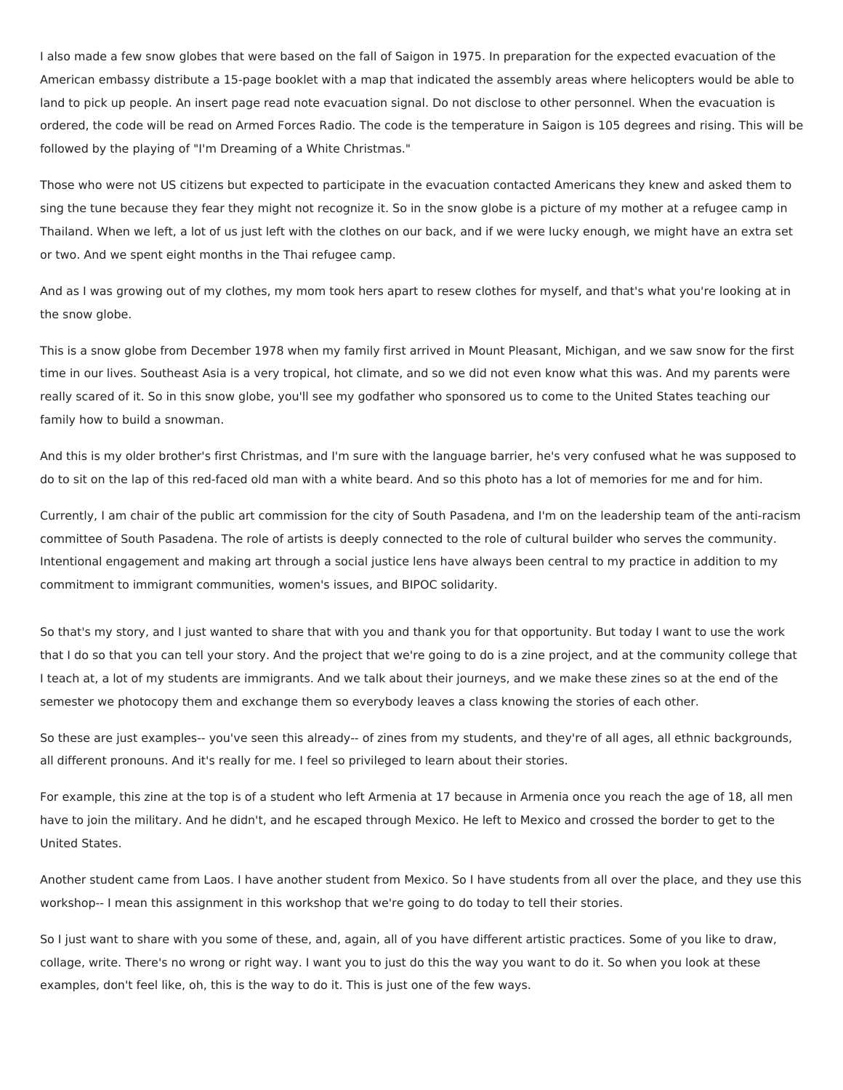I also made a few snow globes that were based on the fall of Saigon in 1975. In preparation for the expected evacuation of the American embassy distribute a 15-page booklet with a map that indicated the assembly areas where helicopters would be able to land to pick up people. An insert page read note evacuation signal. Do not disclose to other personnel. When the evacuation is ordered, the code will be read on Armed Forces Radio. The code is the temperature in Saigon is 105 degrees and rising. This will be followed by the playing of "I'm Dreaming of a White Christmas."

Those who were not US citizens but expected to participate in the evacuation contacted Americans they knew and asked them to sing the tune because they fear they might not recognize it. So in the snow globe is a picture of my mother at a refugee camp in Thailand. When we left, a lot of us just left with the clothes on our back, and if we were lucky enough, we might have an extra set or two. And we spent eight months in the Thai refugee camp.

And as I was growing out of my clothes, my mom took hers apart to resew clothes for myself, and that's what you're looking at in the snow globe.

This is a snow globe from December 1978 when my family first arrived in Mount Pleasant, Michigan, and we saw snow for the first time in our lives. Southeast Asia is a very tropical, hot climate, and so we did not even know what this was. And my parents were really scared of it. So in this snow globe, you'll see my godfather who sponsored us to come to the United States teaching our family how to build a snowman.

And this is my older brother's first Christmas, and I'm sure with the language barrier, he's very confused what he was supposed to do to sit on the lap of this red-faced old man with a white beard. And so this photo has a lot of memories for me and for him.

Currently, I am chair of the public art commission for the city of South Pasadena, and I'm on the leadership team of the anti-racism committee of South Pasadena. The role of artists is deeply connected to the role of cultural builder who serves the community. Intentional engagement and making art through a social justice lens have always been central to my practice in addition to my commitment to immigrant communities, women's issues, and BIPOC solidarity.

So that's my story, and I just wanted to share that with you and thank you for that opportunity. But today I want to use the work that I do so that you can tell your story. And the project that we're going to do is a zine project, and at the community college that I teach at, a lot of my students are immigrants. And we talk about their journeys, and we make these zines so at the end of the semester we photocopy them and exchange them so everybody leaves a class knowing the stories of each other.

So these are just examples-- you've seen this already-- of zines from my students, and they're of all ages, all ethnic backgrounds, all different pronouns. And it's really for me. I feel so privileged to learn about their stories.

For example, this zine at the top is of a student who left Armenia at 17 because in Armenia once you reach the age of 18, all men have to join the military. And he didn't, and he escaped through Mexico. He left to Mexico and crossed the border to get to the United States.

Another student came from Laos. I have another student from Mexico. So I have students from all over the place, and they use this workshop-- I mean this assignment in this workshop that we're going to do today to tell their stories.

So I just want to share with you some of these, and, again, all of you have different artistic practices. Some of you like to draw, collage, write. There's no wrong or right way. I want you to just do this the way you want to do it. So when you look at these examples, don't feel like, oh, this is the way to do it. This is just one of the few ways.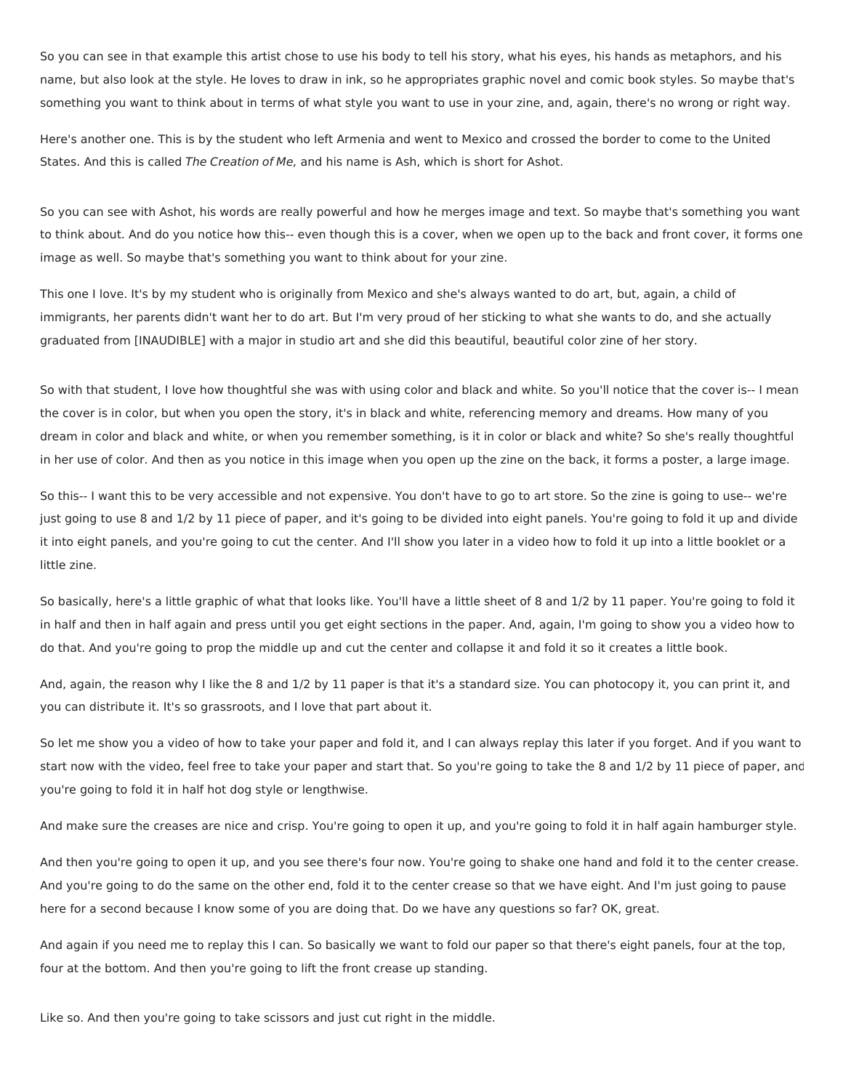So you can see in that example this artist chose to use his body to tell his story, what his eyes, his hands as metaphors, and his name, but also look at the style. He loves to draw in ink, so he appropriates graphic novel and comic book styles. So maybe that's something you want to think about in terms of what style you want to use in your zine, and, again, there's no wrong or right way.

Here's another one. This is by the student who left Armenia and went to Mexico and crossed the border to come to the United States. And this is called The Creation of Me, and his name is Ash, which is short for Ashot.

So you can see with Ashot, his words are really powerful and how he merges image and text. So maybe that's something you want to think about. And do you notice how this-- even though this is a cover, when we open up to the back and front cover, it forms one image as well. So maybe that's something you want to think about for your zine.

This one I love. It's by my student who is originally from Mexico and she's always wanted to do art, but, again, a child of immigrants, her parents didn't want her to do art. But I'm very proud of her sticking to what she wants to do, and she actually graduated from [INAUDIBLE] with a major in studio art and she did this beautiful, beautiful color zine of her story.

So with that student, I love how thoughtful she was with using color and black and white. So you'll notice that the cover is-- I mean the cover is in color, but when you open the story, it's in black and white, referencing memory and dreams. How many of you dream in color and black and white, or when you remember something, is it in color or black and white? So she's really thoughtful in her use of color. And then as you notice in this image when you open up the zine on the back, it forms a poster, a large image.

So this-- I want this to be very accessible and not expensive. You don't have to go to art store. So the zine is going to use-- we're just going to use 8 and 1/2 by 11 piece of paper, and it's going to be divided into eight panels. You're going to fold it up and divide it into eight panels, and you're going to cut the center. And I'll show you later in a video how to fold it up into a little booklet or a little zine.

So basically, here's a little graphic of what that looks like. You'll have a little sheet of 8 and 1/2 by 11 paper. You're going to fold it in half and then in half again and press until you get eight sections in the paper. And, again, I'm going to show you a video how to do that. And you're going to prop the middle up and cut the center and collapse it and fold it so it creates a little book.

And, again, the reason why I like the 8 and 1/2 by 11 paper is that it's a standard size. You can photocopy it, you can print it, and you can distribute it. It's so grassroots, and I love that part about it.

So let me show you a video of how to take your paper and fold it, and I can always replay this later if you forget. And if you want to start now with the video, feel free to take your paper and start that. So you're going to take the 8 and 1/2 by 11 piece of paper, and you're going to fold it in half hot dog style or lengthwise.

And make sure the creases are nice and crisp. You're going to open it up, and you're going to fold it in half again hamburger style.

And then you're going to open it up, and you see there's four now. You're going to shake one hand and fold it to the center crease. And you're going to do the same on the other end, fold it to the center crease so that we have eight. And I'm just going to pause here for a second because I know some of you are doing that. Do we have any questions so far? OK, great.

And again if you need me to replay this I can. So basically we want to fold our paper so that there's eight panels, four at the top, four at the bottom. And then you're going to lift the front crease up standing.

Like so. And then you're going to take scissors and just cut right in the middle.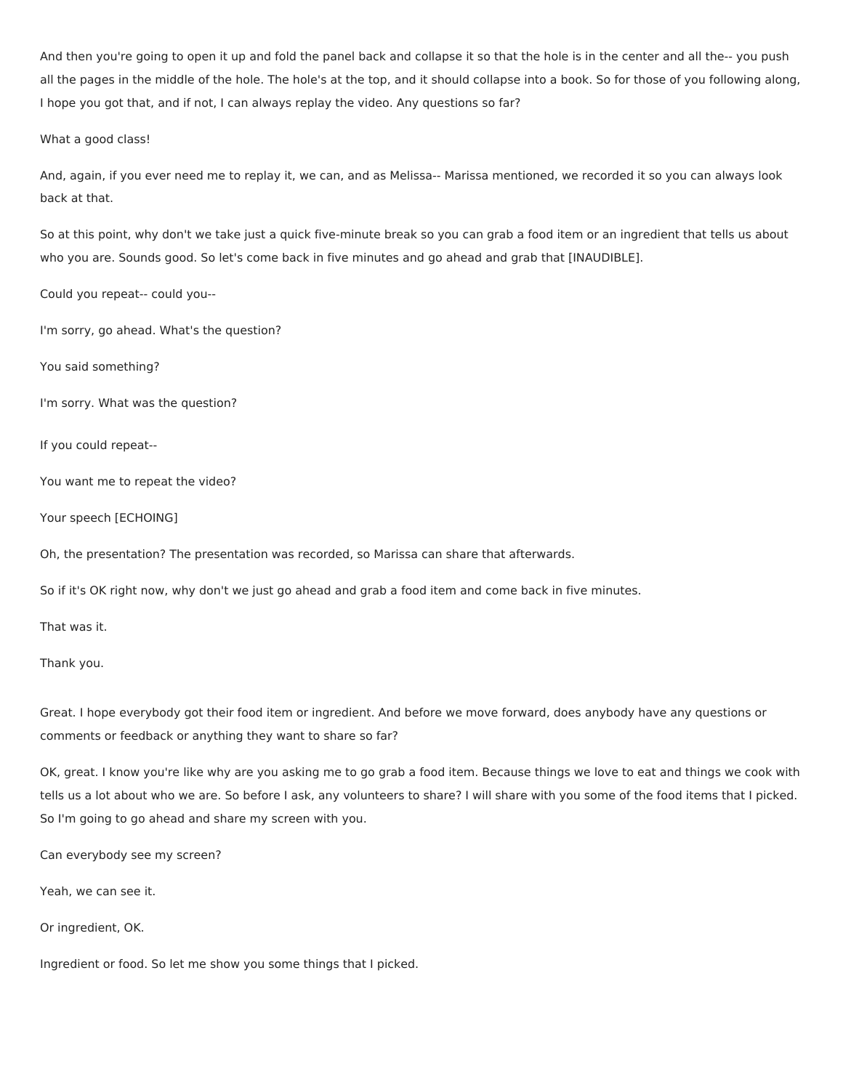And then you're going to open it up and fold the panel back and collapse it so that the hole is in the center and all the-- you push all the pages in the middle of the hole. The hole's at the top, and it should collapse into a book. So for those of you following along, I hope you got that, and if not, I can always replay the video. Any questions so far?

What a good class!

And, again, if you ever need me to replay it, we can, and as Melissa-- Marissa mentioned, we recorded it so you can always look back at that.

So at this point, why don't we take just a quick five-minute break so you can grab a food item or an ingredient that tells us about who you are. Sounds good. So let's come back in five minutes and go ahead and grab that [INAUDIBLE].

Could you repeat-- could you--

I'm sorry, go ahead. What's the question?

You said something?

I'm sorry. What was the question?

If you could repeat--

You want me to repeat the video?

Your speech [ECHOING]

Oh, the presentation? The presentation was recorded, so Marissa can share that afterwards.

So if it's OK right now, why don't we just go ahead and grab a food item and come back in five minutes.

That was it.

Thank you.

Great. I hope everybody got their food item or ingredient. And before we move forward, does anybody have any questions or comments or feedback or anything they want to share so far?

OK, great. I know you're like why are you asking me to go grab a food item. Because things we love to eat and things we cook with tells us a lot about who we are. So before I ask, any volunteers to share? I will share with you some of the food items that I picked. So I'm going to go ahead and share my screen with you.

Can everybody see my screen?

Yeah, we can see it.

Or ingredient, OK.

Ingredient or food. So let me show you some things that I picked.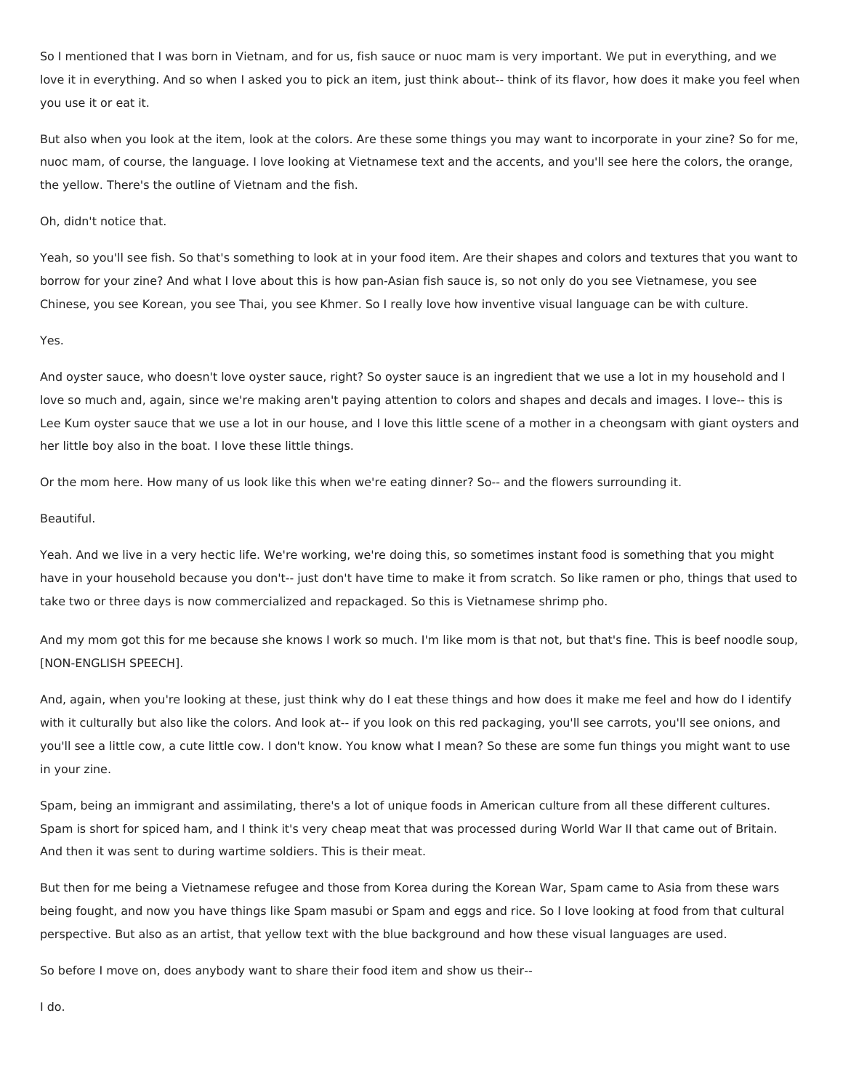So I mentioned that I was born in Vietnam, and for us, fish sauce or nuoc mam is very important. We put in everything, and we love it in everything. And so when I asked you to pick an item, just think about-- think of its flavor, how does it make you feel when you use it or eat it.

But also when you look at the item, look at the colors. Are these some things you may want to incorporate in your zine? So for me, nuoc mam, of course, the language. I love looking at Vietnamese text and the accents, and you'll see here the colors, the orange, the yellow. There's the outline of Vietnam and the fish.

Oh, didn't notice that.

Yeah, so you'll see fish. So that's something to look at in your food item. Are their shapes and colors and textures that you want to borrow for your zine? And what I love about this is how pan-Asian fish sauce is, so not only do you see Vietnamese, you see Chinese, you see Korean, you see Thai, you see Khmer. So I really love how inventive visual language can be with culture.

## Yes.

And oyster sauce, who doesn't love oyster sauce, right? So oyster sauce is an ingredient that we use a lot in my household and I love so much and, again, since we're making aren't paying attention to colors and shapes and decals and images. I love-- this is Lee Kum oyster sauce that we use a lot in our house, and I love this little scene of a mother in a cheongsam with giant oysters and her little boy also in the boat. I love these little things.

Or the mom here. How many of us look like this when we're eating dinner? So-- and the flowers surrounding it.

### Beautiful.

Yeah. And we live in a very hectic life. We're working, we're doing this, so sometimes instant food is something that you might have in your household because you don't-- just don't have time to make it from scratch. So like ramen or pho, things that used to take two or three days is now commercialized and repackaged. So this is Vietnamese shrimp pho.

And my mom got this for me because she knows I work so much. I'm like mom is that not, but that's fine. This is beef noodle soup, [NON-ENGLISH SPEECH].

And, again, when you're looking at these, just think why do I eat these things and how does it make me feel and how do I identify with it culturally but also like the colors. And look at-- if you look on this red packaging, you'll see carrots, you'll see onions, and you'll see a little cow, a cute little cow. I don't know. You know what I mean? So these are some fun things you might want to use in your zine.

Spam, being an immigrant and assimilating, there's a lot of unique foods in American culture from all these different cultures. Spam is short for spiced ham, and I think it's very cheap meat that was processed during World War II that came out of Britain. And then it was sent to during wartime soldiers. This is their meat.

But then for me being a Vietnamese refugee and those from Korea during the Korean War, Spam came to Asia from these wars being fought, and now you have things like Spam masubi or Spam and eggs and rice. So I love looking at food from that cultural perspective. But also as an artist, that yellow text with the blue background and how these visual languages are used.

So before I move on, does anybody want to share their food item and show us their--

I do.